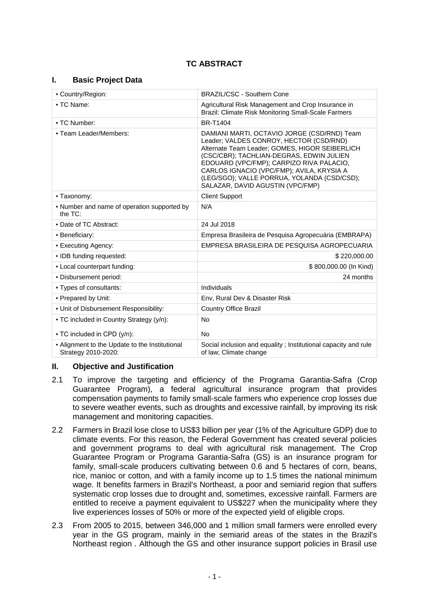### **I. Basic Project Data**

| - Country/Region:                                                     | <b>BRAZIL/CSC - Southern Cone</b>                                                                                                                                                                                                                                                                                                                                |  |
|-----------------------------------------------------------------------|------------------------------------------------------------------------------------------------------------------------------------------------------------------------------------------------------------------------------------------------------------------------------------------------------------------------------------------------------------------|--|
| • TC Name:                                                            | Agricultural Risk Management and Crop Insurance in<br>Brazil: Climate Risk Monitoring Small-Scale Farmers                                                                                                                                                                                                                                                        |  |
| • TC Number:                                                          | <b>BR-T1404</b>                                                                                                                                                                                                                                                                                                                                                  |  |
| - Team Leader/Members:                                                | DAMIANI MARTI, OCTAVIO JORGE (CSD/RND) Team<br>Leader; VALDES CONROY, HECTOR (CSD/RND)<br>Alternate Team Leader; GOMES, HIGOR SEIBERLICH<br>(CSC/CBR); TACHLIAN-DEGRAS, EDWIN JULIEN<br>EDOUARD (VPC/FMP); CARPIZO RIVA PALACIO,<br>CARLOS IGNACIO (VPC/FMP); AVILA, KRYSIA A<br>(LEG/SGO); VALLE PORRUA, YOLANDA (CSD/CSD);<br>SALAZAR, DAVID AGUSTIN (VPC/FMP) |  |
| - Taxonomy:                                                           | <b>Client Support</b>                                                                                                                                                                                                                                                                                                                                            |  |
| • Number and name of operation supported by<br>the $TC$ :             | N/A                                                                                                                                                                                                                                                                                                                                                              |  |
| • Date of TC Abstract:                                                | 24 Jul 2018                                                                                                                                                                                                                                                                                                                                                      |  |
| • Beneficiary:                                                        | Empresa Brasileira de Pesquisa Agropecuária (EMBRAPA)                                                                                                                                                                                                                                                                                                            |  |
| • Executing Agency:                                                   | EMPRESA BRASILEIRA DE PESQUISA AGROPECUARIA                                                                                                                                                                                                                                                                                                                      |  |
| • IDB funding requested:                                              | \$220,000.00                                                                                                                                                                                                                                                                                                                                                     |  |
| - Local counterpart funding:                                          | \$800,000.00 (In Kind)                                                                                                                                                                                                                                                                                                                                           |  |
| . Disbursement period:                                                | 24 months                                                                                                                                                                                                                                                                                                                                                        |  |
| • Types of consultants:                                               | Individuals                                                                                                                                                                                                                                                                                                                                                      |  |
| - Prepared by Unit:                                                   | Env, Rural Dev & Disaster Risk                                                                                                                                                                                                                                                                                                                                   |  |
| . Unit of Disbursement Responsibility:                                | <b>Country Office Brazil</b>                                                                                                                                                                                                                                                                                                                                     |  |
| • TC included in Country Strategy (y/n):                              | No                                                                                                                                                                                                                                                                                                                                                               |  |
| • TC included in CPD (y/n):                                           | <b>No</b>                                                                                                                                                                                                                                                                                                                                                        |  |
| - Alignment to the Update to the Institutional<br>Strategy 2010-2020: | Social inclusion and equality; Institutional capacity and rule<br>of law; Climate change                                                                                                                                                                                                                                                                         |  |

### **II. Objective and Justification**

- 2.1 To improve the targeting and efficiency of the Programa Garantia-Safra (Crop Guarantee Program), a federal agricultural insurance program that provides compensation payments to family small-scale farmers who experience crop losses due to severe weather events, such as droughts and excessive rainfall, by improving its risk management and monitoring capacities.
- 2.2 Farmers in Brazil lose close to US\$3 billion per year (1% of the Agriculture GDP) due to climate events. For this reason, the Federal Government has created several policies and government programs to deal with agricultural risk management. The Crop Guarantee Program or Programa Garantia-Safra (GS) is an insurance program for family, small-scale producers cultivating between 0.6 and 5 hectares of corn, beans, rice, manioc or cotton, and with a family income up to 1.5 times the national minimum wage. It benefits farmers in Brazil's Northeast, a poor and semiarid region that suffers systematic crop losses due to drought and, sometimes, excessive rainfall. Farmers are entitled to receive a payment equivalent to US\$227 when the municipality where they live experiences losses of 50% or more of the expected yield of eligible crops.
- 2.3 From 2005 to 2015, between 346,000 and 1 million small farmers were enrolled every year in the GS program, mainly in the semiarid areas of the states in the Brazil's Northeast region . Although the GS and other insurance support policies in Brasil use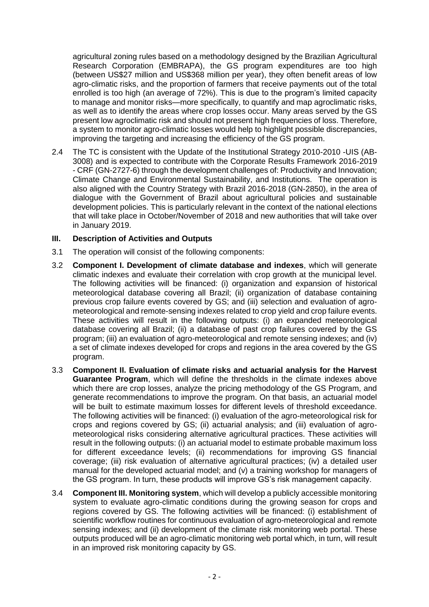agricultural zoning rules based on a methodology designed by the Brazilian Agricultural Research Corporation (EMBRAPA), the GS program expenditures are too high (between US\$27 million and US\$368 million per year), they often benefit areas of low agro-climatic risks, and the proportion of farmers that receive payments out of the total enrolled is too high (an average of 72%). This is due to the program's limited capacity to manage and monitor risks—more specifically, to quantify and map agroclimatic risks, as well as to identify the areas where crop losses occur. Many areas served by the GS present low agroclimatic risk and should not present high frequencies of loss. Therefore, a system to monitor agro-climatic losses would help to highlight possible discrepancies, improving the targeting and increasing the efficiency of the GS program.

2.4 The TC is consistent with the Update of the Institutional Strategy 2010-2010 -UIS (AB-3008) and is expected to contribute with the Corporate Results Framework 2016-2019 - CRF (GN-2727-6) through the development challenges of: Productivity and Innovation; Climate Change and Environmental Sustainability, and Institutions. The operation is also aligned with the Country Strategy with Brazil 2016-2018 (GN-2850), in the area of dialogue with the Government of Brazil about agricultural policies and sustainable development policies. This is particularly relevant in the context of the national elections that will take place in October/November of 2018 and new authorities that will take over in January 2019.

# **III. Description of Activities and Outputs**

- 3.1 The operation will consist of the following components:
- 3.2 **Component I. Development of climate database and indexes**, which will generate climatic indexes and evaluate their correlation with crop growth at the municipal level. The following activities will be financed: (i) organization and expansion of historical meteorological database covering all Brazil; (ii) organization of database containing previous crop failure events covered by GS; and (iii) selection and evaluation of agrometeorological and remote-sensing indexes related to crop yield and crop failure events. These activities will result in the following outputs: (i) an expanded meteorological database covering all Brazil; (ii) a database of past crop failures covered by the GS program; (iii) an evaluation of agro-meteorological and remote sensing indexes; and (iv) a set of climate indexes developed for crops and regions in the area covered by the GS program.
- 3.3 **Component II. Evaluation of climate risks and actuarial analysis for the Harvest Guarantee Program**, which will define the thresholds in the climate indexes above which there are crop losses, analyze the pricing methodology of the GS Program, and generate recommendations to improve the program. On that basis, an actuarial model will be built to estimate maximum losses for different levels of threshold exceedance. The following activities will be financed: (i) evaluation of the agro-meteorological risk for crops and regions covered by GS; (ii) actuarial analysis; and (iii) evaluation of agrometeorological risks considering alternative agricultural practices. These activities will result in the following outputs: (i) an actuarial model to estimate probable maximum loss for different exceedance levels; (ii) recommendations for improving GS financial coverage; (iii) risk evaluation of alternative agricultural practices; (iv) a detailed user manual for the developed actuarial model; and (v) a training workshop for managers of the GS program. In turn, these products will improve GS's risk management capacity.
- 3.4 **Component III. Monitoring system**, which will develop a publicly accessible monitoring system to evaluate agro-climatic conditions during the growing season for crops and regions covered by GS. The following activities will be financed: (i) establishment of scientific workflow routines for continuous evaluation of agro-meteorological and remote sensing indexes; and (ii) development of the climate risk monitoring web portal. These outputs produced will be an agro-climatic monitoring web portal which, in turn, will result in an improved risk monitoring capacity by GS.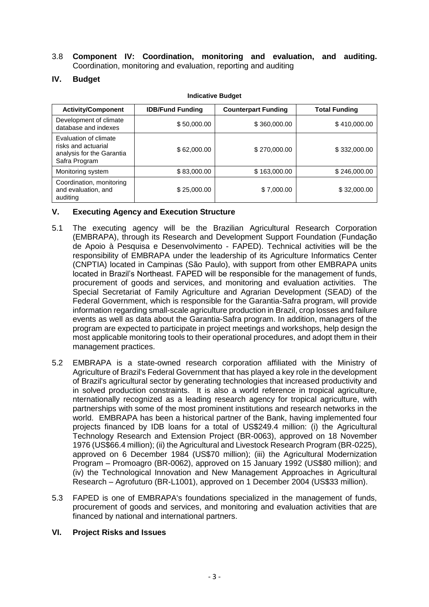3.8 **Component IV: Coordination, monitoring and evaluation, and auditing.**  Coordination, monitoring and evaluation, reporting and auditing

# **IV. Budget**

| <b>Activity/Component</b>                                                                  | <b>IDB/Fund Funding</b> | <b>Counterpart Funding</b> | <b>Total Funding</b> |
|--------------------------------------------------------------------------------------------|-------------------------|----------------------------|----------------------|
| Development of climate<br>database and indexes                                             | \$50,000.00             | \$360,000.00               | \$410,000.00         |
| Evaluation of climate<br>risks and actuarial<br>analysis for the Garantia<br>Safra Program | \$62,000.00             | \$270,000.00               | \$332,000.00         |
| Monitoring system                                                                          | \$83,000.00             | \$163,000.00               | \$246,000.00         |
| Coordination, monitoring<br>and evaluation, and<br>auditing                                | \$25,000.00             | \$7,000.00                 | \$32,000.00          |

#### **Indicative Budget**

### **V. Executing Agency and Execution Structure**

- 5.1 The executing agency will be the Brazilian Agricultural Research Corporation (EMBRAPA), through its Research and Development Support Foundation (Fundação de Apoio à Pesquisa e Desenvolvimento - FAPED). Technical activities will be the responsibility of EMBRAPA under the leadership of its Agriculture Informatics Center (CNPTIA) located in Campinas (São Paulo), with support from other EMBRAPA units located in Brazil's Northeast. FAPED will be responsible for the management of funds, procurement of goods and services, and monitoring and evaluation activities. The Special Secretariat of Family Agriculture and Agrarian Development (SEAD) of the Federal Government, which is responsible for the Garantia-Safra program, will provide information regarding small-scale agriculture production in Brazil, crop losses and failure events as well as data about the Garantia-Safra program. In addition, managers of the program are expected to participate in project meetings and workshops, help design the most applicable monitoring tools to their operational procedures, and adopt them in their management practices.
- 5.2 EMBRAPA is a state-owned research corporation affiliated with the Ministry of Agriculture of Brazil's Federal Government that has played a key role in the development of Brazil's agricultural sector by generating technologies that increased productivity and in solved production constraints. It is also a world reference in tropical agriculture, nternationally recognized as a leading research agency for tropical agriculture, with partnerships with some of the most prominent institutions and research networks in the world. EMBRAPA has been a historical partner of the Bank, having implemented four projects financed by IDB loans for a total of US\$249.4 million: (i) the Agricultural Technology Research and Extension Project (BR-0063), approved on 18 November 1976 (US\$66.4 million); (ii) the Agricultural and Livestock Research Program (BR-0225), approved on 6 December 1984 (US\$70 million); (iii) the Agricultural Modernization Program – Promoagro (BR-0062), approved on 15 January 1992 (US\$80 million); and (iv) the Technological Innovation and New Management Approaches in Agricultural Research – Agrofuturo (BR-L1001), approved on 1 December 2004 (US\$33 million).
- 5.3 FAPED is one of EMBRAPA's foundations specialized in the management of funds, procurement of goods and services, and monitoring and evaluation activities that are financed by national and international partners.

### **VI. Project Risks and Issues**